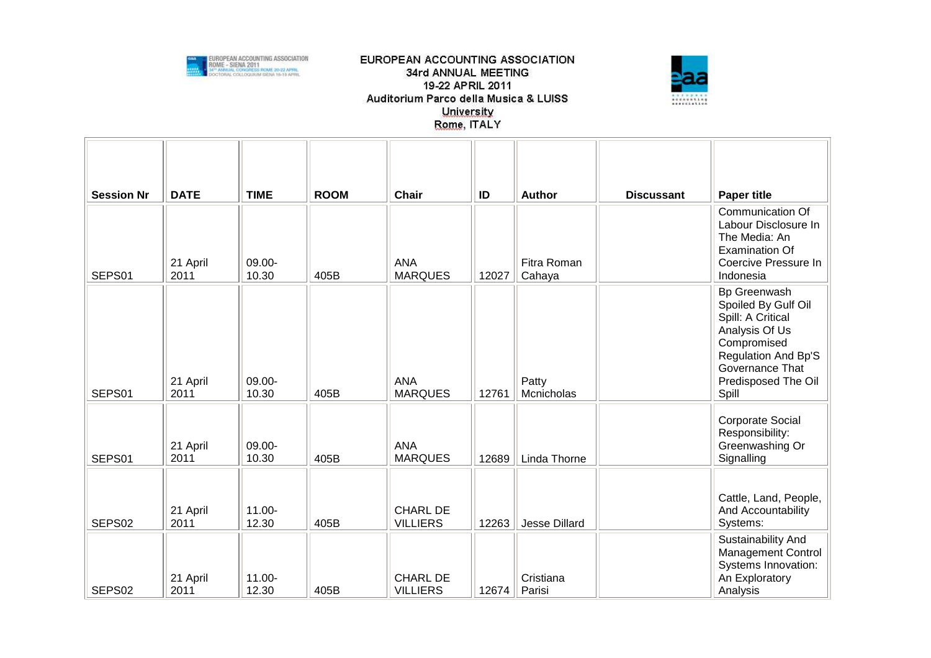



| <b>Session Nr</b>  | <b>DATE</b>      | <b>TIME</b>        | <b>ROOM</b> | <b>Chair</b>                       | ID    | Author                | <b>Discussant</b> | <b>Paper title</b>                                                                                                                                                         |
|--------------------|------------------|--------------------|-------------|------------------------------------|-------|-----------------------|-------------------|----------------------------------------------------------------------------------------------------------------------------------------------------------------------------|
| SEPS01             | 21 April<br>2011 | 09.00-<br>10.30    | 405B        | <b>ANA</b><br><b>MARQUES</b>       | 12027 | Fitra Roman<br>Cahaya |                   | Communication Of<br>Labour Disclosure In<br>The Media: An<br><b>Examination Of</b><br>Coercive Pressure In<br>Indonesia                                                    |
| SEPS01             | 21 April<br>2011 | 09.00-<br>10.30    | 405B        | <b>ANA</b><br><b>MARQUES</b>       | 12761 | Patty<br>Mcnicholas   |                   | Bp Greenwash<br>Spoiled By Gulf Oil<br>Spill: A Critical<br>Analysis Of Us<br>Compromised<br><b>Regulation And Bp'S</b><br>Governance That<br>Predisposed The Oil<br>Spill |
| SEPS01             | 21 April<br>2011 | 09.00-<br>10.30    | 405B        | <b>ANA</b><br><b>MARQUES</b>       | 12689 | Linda Thorne          |                   | Corporate Social<br>Responsibility:<br>Greenwashing Or<br>Signalling                                                                                                       |
| SEPS <sub>02</sub> | 21 April<br>2011 | $11.00 -$<br>12.30 | 405B        | <b>CHARL DE</b><br><b>VILLIERS</b> | 12263 | Jesse Dillard         |                   | Cattle, Land, People,<br>And Accountability<br>Systems:                                                                                                                    |
| SEPS02             | 21 April<br>2011 | 11.00-<br>12.30    | 405B        | <b>CHARL DE</b><br><b>VILLIERS</b> | 12674 | Cristiana<br>Parisi   |                   | Sustainability And<br><b>Management Control</b><br>Systems Innovation:<br>An Exploratory<br>Analysis                                                                       |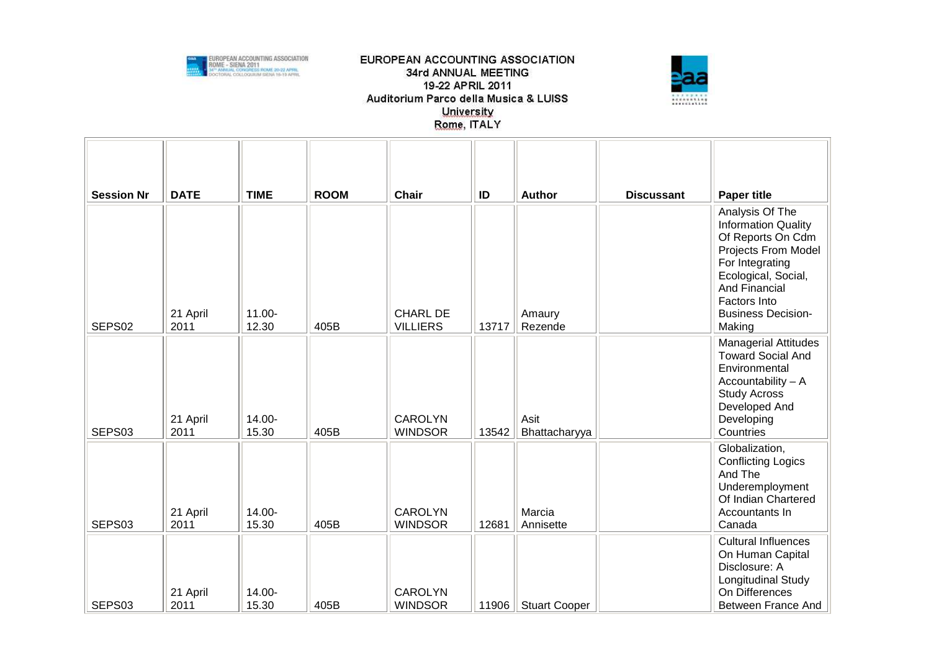



| <b>Session Nr</b> | <b>DATE</b>      | <b>TIME</b>        | <b>ROOM</b> | <b>Chair</b>                       | ID    | <b>Author</b>         | <b>Discussant</b> | <b>Paper title</b>                                                                                                                                                                                          |
|-------------------|------------------|--------------------|-------------|------------------------------------|-------|-----------------------|-------------------|-------------------------------------------------------------------------------------------------------------------------------------------------------------------------------------------------------------|
| SEPS02            | 21 April<br>2011 | $11.00 -$<br>12.30 | 405B        | <b>CHARL DE</b><br><b>VILLIERS</b> | 13717 | Amaury<br>Rezende     |                   | Analysis Of The<br><b>Information Quality</b><br>Of Reports On Cdm<br>Projects From Model<br>For Integrating<br>Ecological, Social,<br>And Financial<br>Factors Into<br><b>Business Decision-</b><br>Making |
| SEPS03            | 21 April<br>2011 | 14.00-<br>15.30    | 405B        | <b>CAROLYN</b><br><b>WINDSOR</b>   | 13542 | Asit<br>Bhattacharyya |                   | <b>Managerial Attitudes</b><br><b>Toward Social And</b><br>Environmental<br>$Accountability - A$<br><b>Study Across</b><br>Developed And<br>Developing<br>Countries                                         |
| SEPS03            | 21 April<br>2011 | 14.00-<br>15.30    | 405B        | <b>CAROLYN</b><br><b>WINDSOR</b>   | 12681 | Marcia<br>Annisette   |                   | Globalization,<br><b>Conflicting Logics</b><br>And The<br>Underemployment<br>Of Indian Chartered<br>Accountants In<br>Canada                                                                                |
| SEPS03            | 21 April<br>2011 | 14.00-<br>15.30    | 405B        | <b>CAROLYN</b><br><b>WINDSOR</b>   | 11906 | <b>Stuart Cooper</b>  |                   | <b>Cultural Influences</b><br>On Human Capital<br>Disclosure: A<br>Longitudinal Study<br>On Differences<br>Between France And                                                                               |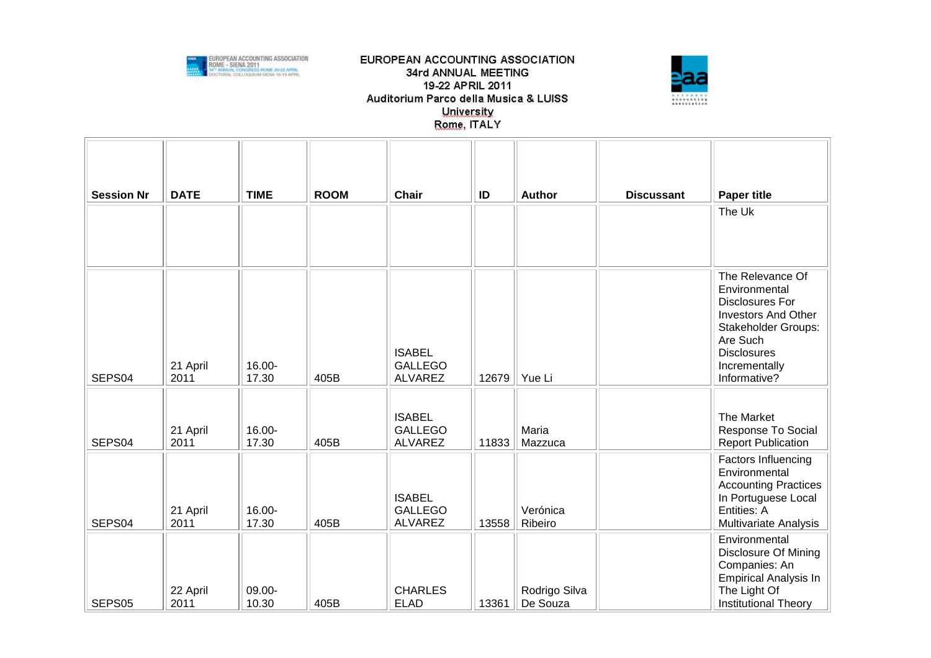



| <b>Session Nr</b> | <b>DATE</b>      | <b>TIME</b>     | <b>ROOM</b> | Chair                                             | ID    | <b>Author</b>             | <b>Discussant</b> | <b>Paper title</b>                                                                                                                                                                         |
|-------------------|------------------|-----------------|-------------|---------------------------------------------------|-------|---------------------------|-------------------|--------------------------------------------------------------------------------------------------------------------------------------------------------------------------------------------|
|                   |                  |                 |             |                                                   |       |                           |                   | The Uk                                                                                                                                                                                     |
| SEPS04            | 21 April<br>2011 | 16.00-<br>17.30 | 405B        | <b>ISABEL</b><br><b>GALLEGO</b><br><b>ALVAREZ</b> | 12679 | Yue Li                    |                   | The Relevance Of<br>Environmental<br><b>Disclosures For</b><br><b>Investors And Other</b><br><b>Stakeholder Groups:</b><br>Are Such<br><b>Disclosures</b><br>Incrementally<br>Informative? |
| SEPS04            | 21 April<br>2011 | 16.00-<br>17.30 | 405B        | <b>ISABEL</b><br><b>GALLEGO</b><br><b>ALVAREZ</b> | 11833 | Maria<br>Mazzuca          |                   | The Market<br>Response To Social<br><b>Report Publication</b>                                                                                                                              |
| SEPS04            | 21 April<br>2011 | 16.00-<br>17.30 | 405B        | <b>ISABEL</b><br><b>GALLEGO</b><br><b>ALVAREZ</b> | 13558 | Verónica<br>Ribeiro       |                   | Factors Influencing<br>Environmental<br><b>Accounting Practices</b><br>In Portuguese Local<br>Entities: A<br>Multivariate Analysis                                                         |
| SEPS05            | 22 April<br>2011 | 09.00-<br>10.30 | 405B        | <b>CHARLES</b><br><b>ELAD</b>                     | 13361 | Rodrigo Silva<br>De Souza |                   | Environmental<br><b>Disclosure Of Mining</b><br>Companies: An<br><b>Empirical Analysis In</b><br>The Light Of<br><b>Institutional Theory</b>                                               |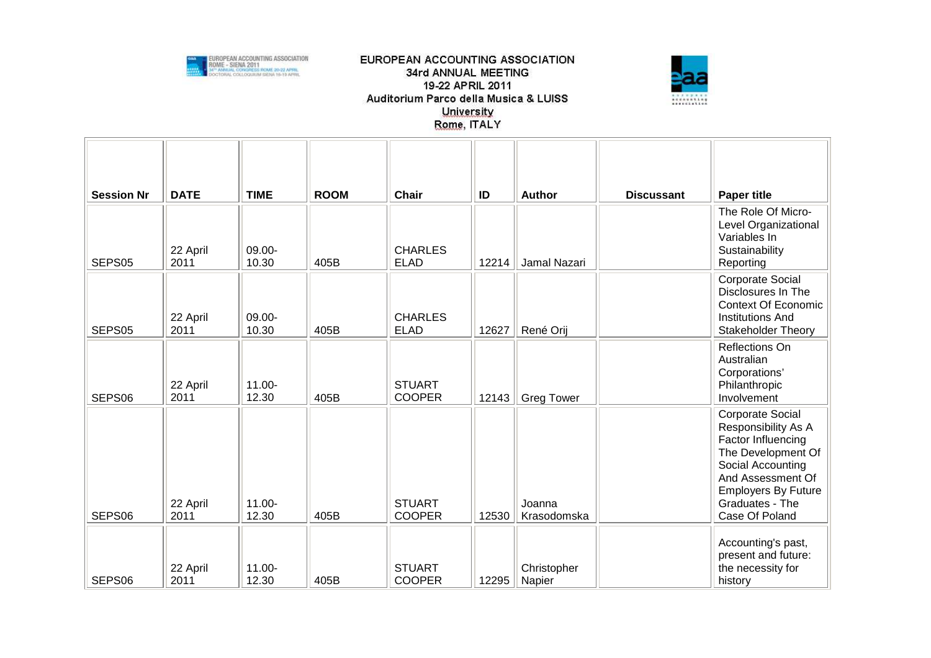



| <b>Session Nr</b> | <b>DATE</b>      | <b>TIME</b>        | <b>ROOM</b> | <b>Chair</b>                   | ID    | <b>Author</b>         | <b>Discussant</b> | <b>Paper title</b>                                                                                                                                                                                      |
|-------------------|------------------|--------------------|-------------|--------------------------------|-------|-----------------------|-------------------|---------------------------------------------------------------------------------------------------------------------------------------------------------------------------------------------------------|
| SEPS05            | 22 April<br>2011 | 09.00-<br>10.30    | 405B        | <b>CHARLES</b><br><b>ELAD</b>  | 12214 | Jamal Nazari          |                   | The Role Of Micro-<br>Level Organizational<br>Variables In<br>Sustainability<br>Reporting                                                                                                               |
| SEPS05            | 22 April<br>2011 | 09.00-<br>10.30    | 405B        | <b>CHARLES</b><br><b>ELAD</b>  | 12627 | René Orij             |                   | Corporate Social<br>Disclosures In The<br><b>Context Of Economic</b><br><b>Institutions And</b><br><b>Stakeholder Theory</b>                                                                            |
| SEPS06            | 22 April<br>2011 | $11.00 -$<br>12.30 | 405B        | <b>STUART</b><br><b>COOPER</b> | 12143 | <b>Greg Tower</b>     |                   | Reflections On<br>Australian<br>Corporations'<br>Philanthropic<br>Involvement                                                                                                                           |
| SEPS06            | 22 April<br>2011 | $11.00 -$<br>12.30 | 405B        | <b>STUART</b><br><b>COOPER</b> | 12530 | Joanna<br>Krasodomska |                   | <b>Corporate Social</b><br>Responsibility As A<br>Factor Influencing<br>The Development Of<br>Social Accounting<br>And Assessment Of<br><b>Employers By Future</b><br>Graduates - The<br>Case Of Poland |
| SEPS06            | 22 April<br>2011 | 11.00-<br>12.30    | 405B        | <b>STUART</b><br><b>COOPER</b> | 12295 | Christopher<br>Napier |                   | Accounting's past,<br>present and future:<br>the necessity for<br>history                                                                                                                               |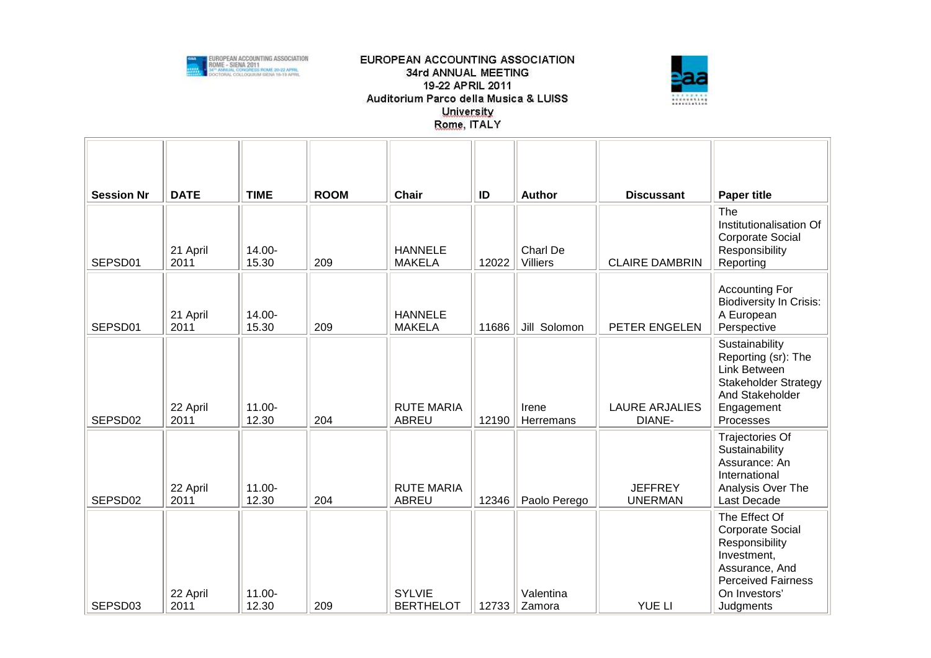



| <b>Session Nr</b> | <b>DATE</b>      | <b>TIME</b>        | <b>ROOM</b> | <b>Chair</b>                      | ID    | Author                      | <b>Discussant</b>                | <b>Paper title</b>                                                                                                                                     |
|-------------------|------------------|--------------------|-------------|-----------------------------------|-------|-----------------------------|----------------------------------|--------------------------------------------------------------------------------------------------------------------------------------------------------|
| SEPSD01           | 21 April<br>2011 | 14.00-<br>15.30    | 209         | <b>HANNELE</b><br><b>MAKELA</b>   | 12022 | Charl De<br><b>Villiers</b> | <b>CLAIRE DAMBRIN</b>            | The<br>Institutionalisation Of<br><b>Corporate Social</b><br>Responsibility<br>Reporting                                                               |
| SEPSD01           | 21 April<br>2011 | 14.00-<br>15.30    | 209         | <b>HANNELE</b><br><b>MAKELA</b>   | 11686 | Jill Solomon                | PETER ENGELEN                    | <b>Accounting For</b><br><b>Biodiversity In Crisis:</b><br>A European<br>Perspective                                                                   |
| SEPSD02           | 22 April<br>2011 | $11.00 -$<br>12.30 | 204         | <b>RUTE MARIA</b><br><b>ABREU</b> | 12190 | Irene<br>Herremans          | <b>LAURE ARJALIES</b><br>DIANE-  | Sustainability<br>Reporting (sr): The<br>Link Between<br><b>Stakeholder Strategy</b><br>And Stakeholder<br>Engagement<br>Processes                     |
| SEPSD02           | 22 April<br>2011 | 11.00-<br>12.30    | 204         | <b>RUTE MARIA</b><br>ABREU        | 12346 | Paolo Perego                | <b>JEFFREY</b><br><b>UNERMAN</b> | Trajectories Of<br>Sustainability<br>Assurance: An<br>International<br>Analysis Over The<br>Last Decade                                                |
| SEPSD03           | 22 April<br>2011 | 11.00-<br>12.30    | 209         | <b>SYLVIE</b><br><b>BERTHELOT</b> | 12733 | Valentina<br>Zamora         | <b>YUE LI</b>                    | The Effect Of<br><b>Corporate Social</b><br>Responsibility<br>Investment,<br>Assurance, And<br><b>Perceived Fairness</b><br>On Investors'<br>Judgments |